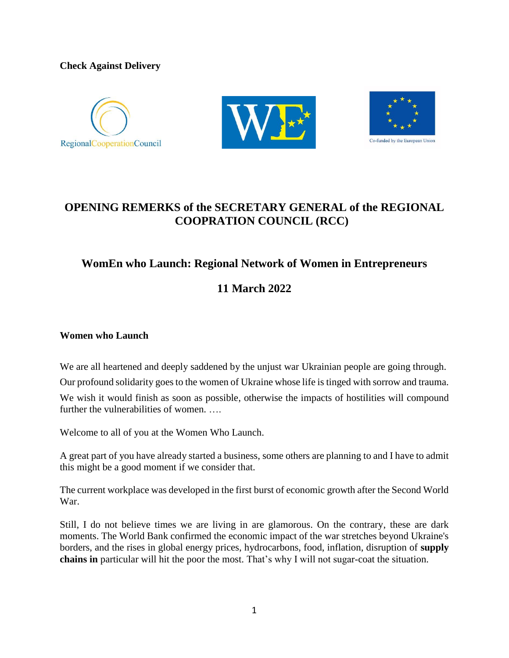**Check Against Delivery**







# **OPENING REMERKS of the SECRETARY GENERAL of the REGIONAL COOPRATION COUNCIL (RCC)**

# **WomEn who Launch: Regional Network of Women in Entrepreneurs**

# **11 March 2022**

# **Women who Launch**

We are all heartened and deeply saddened by the unjust war Ukrainian people are going through.

Our profound solidarity goes to the women of Ukraine whose life is tinged with sorrow and trauma.

We wish it would finish as soon as possible, otherwise the impacts of hostilities will compound further the vulnerabilities of women. ….

Welcome to all of you at the Women Who Launch.

A great part of you have already started a business, some others are planning to and I have to admit this might be a good moment if we consider that.

The current workplace was developed in the first burst of economic growth after the Second World War.

Still, I do not believe times we are living in are glamorous. On the contrary, these are dark moments. The World Bank confirmed the economic impact of the war stretches beyond Ukraine's borders, and the rises in global energy prices, hydrocarbons, food, inflation, disruption of **supply chains in** particular will hit the poor the most. That's why I will not sugar-coat the situation.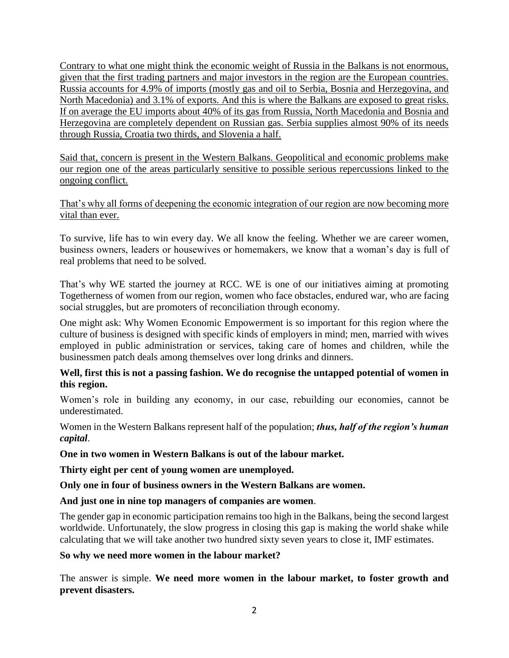Contrary to what one might think the economic weight of Russia in the Balkans is not enormous, given that the first trading partners and major investors in the region are the European countries. Russia accounts for 4.9% of imports (mostly gas and oil to Serbia, Bosnia and Herzegovina, and North Macedonia) and 3.1% of exports. And this is where the Balkans are exposed to great risks. If on average the EU imports about [40% of its gas f](https://www.bruegel.org/2022/01/can-europe-survive-painlessly-without-russian-gas/)rom Russia, North Macedonia and Bosnia and Herzegovina are [completely dependent o](https://balkaninsight.com/2020/11/24/balkan-countries-still-heavily-dependent-on-russian-gas/)n Russian gas. Serbia supplies almost 90% of its needs through Russia, Croatia two thirds, and Slovenia a half.

Said that, concern is present in the Western Balkans. Geopolitical and economic problems make our region one of the areas particularly sensitive to possible serious repercussions linked to the ongoing conflict.

That's why all forms of deepening the economic integration of our region are now becoming more vital than ever.

To survive, life has to win every day. We all know the feeling. Whether we are career women, business owners, leaders or housewives or homemakers, we know that a woman's day is full of real problems that need to be solved.

That's why WE started the journey at RCC. WE is one of our initiatives aiming at promoting Togetherness of women from our region, women who face obstacles, endured war, who are facing social struggles, but are promoters of reconciliation through economy.

One might ask: Why Women Economic Empowerment is so important for this region where the culture of business is designed with specific kinds of employers in mind; men, married with wives employed in public administration or services, taking care of homes and children, while the businessmen patch deals among themselves over long drinks and dinners.

# **Well, first this is not a passing fashion. We do recognise the untapped potential of women in this region.**

Women's role in building any economy, in our case, rebuilding our economies, cannot be underestimated.

Women in the Western Balkans represent half of the population; *thus, half of the region's human capital*.

**One in two women in Western Balkans is out of the labour market.**

**Thirty eight per cent of young women are unemployed.** 

**Only one in four of business owners in the Western Balkans are women.**

**And just one in nine top managers of companies are women**.

The gender gap in economic participation remains too high in the Balkans, being the second largest worldwide. Unfortunately, the slow progress in closing this gap is making the world shake while calculating that we will take another two hundred sixty seven years to close it, IMF estimates.

#### **So why we need more women in the labour market?**

The answer is simple. **We need more women in the labour market, to foster growth and prevent disasters.**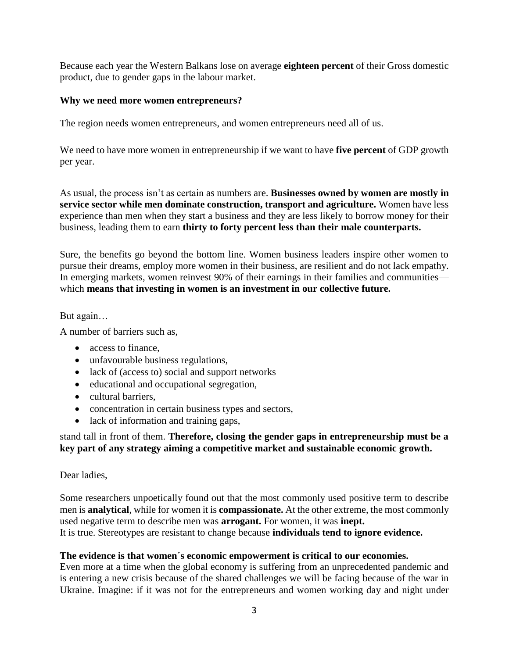Because each year the Western Balkans lose on average **eighteen percent** of their Gross domestic product, due to gender gaps in the labour market.

#### **Why we need more women entrepreneurs?**

The region needs women entrepreneurs, and women entrepreneurs need all of us.

We need to have more women in entrepreneurship if we want to have **five percent** of GDP growth per year.

As usual, the process isn't as certain as numbers are. **Businesses owned by women are mostly in service sector while men dominate construction, transport and agriculture.** Women have less experience than men when they start a business and they are less likely to borrow money for their business, leading them to earn **thirty to forty percent less than their male counterparts.**

Sure, the benefits go beyond the bottom line. Women business leaders inspire other women to pursue their dreams, employ more women in their business, are resilient and do not lack empathy. In emerging markets, women reinvest 90% of their earnings in their families and communities which **means that investing in women is an investment in our collective future.**

#### But again…

A number of barriers such as,

- access to finance,
- unfavourable business regulations,
- lack of (access to) social and support networks
- educational and occupational segregation,
- cultural barriers,
- concentration in certain business types and sectors,
- lack of information and training gaps,

# stand tall in front of them. **Therefore, closing the gender gaps in entrepreneurship must be a key part of any strategy aiming a competitive market and sustainable economic growth.**

#### Dear ladies,

Some researchers unpoetically found out that the most commonly used positive term to describe men is **analytical**, while for women it is **compassionate.** At the other extreme, the most commonly used negative term to describe men was **arrogant.** For women, it was **inept.** It is true. Stereotypes are resistant to change because **individuals tend to ignore evidence.**

### **The evidence is that women´s economic empowerment is critical to our economies.**

Even more at a time when the global economy is suffering from an unprecedented pandemic and is entering a new crisis because of the shared challenges we will be facing because of the war in Ukraine. Imagine: if it was not for the entrepreneurs and women working day and night under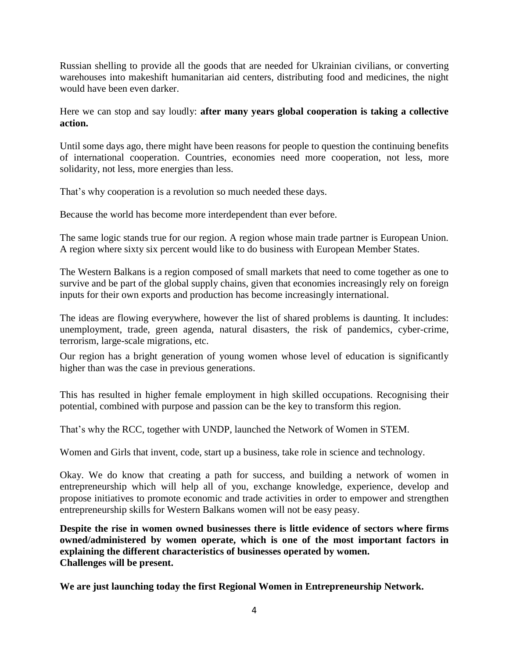Russian shelling to provide all the goods that are needed for Ukrainian civilians, or converting warehouses into makeshift humanitarian aid centers, distributing food and medicines, the night would have been even darker.

Here we can stop and say loudly: **after many years global cooperation is taking a collective action.** 

Until some days ago, there might have been reasons for people to question the continuing benefits of international cooperation. Countries, economies need more cooperation, not less, more solidarity, not less, more energies than less.

That's why cooperation is a revolution so much needed these days.

Because the world has become more interdependent than ever before.

The same logic stands true for our region. A region whose main trade partner is European Union. A region where sixty six percent would like to do business with European Member States.

The Western Balkans is a region composed of small markets that need to come together as one to survive and be part of the global supply chains, given that economies increasingly rely on foreign inputs for their own exports and production has become increasingly international.

The ideas are flowing everywhere, however the list of shared problems is daunting. It includes: unemployment, trade, green agenda, natural disasters, the risk of pandemics, cyber-crime, terrorism, large-scale migrations, etc.

Our region has a bright generation of young women whose level of education is significantly higher than was the case in previous generations.

This has resulted in higher female employment in high skilled occupations. Recognising their potential, combined with purpose and passion can be the key to transform this region.

That's why the RCC, together with UNDP, launched the Network of Women in STEM.

Women and Girls that invent, code, start up a business, take role in science and technology.

Okay. We do know that creating a path for success, and building a network of women in entrepreneurship which will help all of you, exchange knowledge, experience, develop and propose initiatives to promote economic and trade activities in order to empower and strengthen entrepreneurship skills for Western Balkans women will not be easy peasy.

**Despite the rise in women owned businesses there is little evidence of sectors where firms owned/administered by women operate, which is one of the most important factors in explaining the different characteristics of businesses operated by women. Challenges will be present.**

**We are just launching today the first Regional Women in Entrepreneurship Network.**